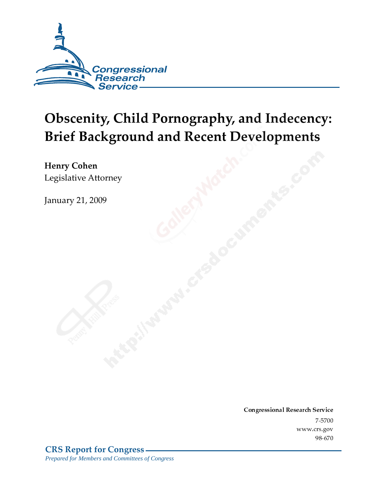

# **Obscenity, Child Pornography, and Indecency: Brief Background and Recent Developments**

Henry Cohen Legislative Attorney

**January 21, 2009** 

Conglessional Research Service  $7 - 2700$ www.crs.gov  $70 - 070$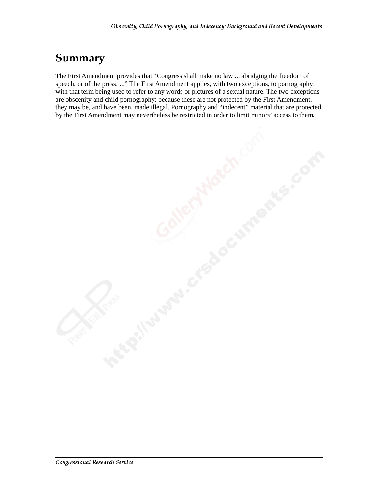### Summary

The First Amendment provides that "Congress shall make no law ... abridging the freedom of speech, or of the press. ..." The First Amendment applies, with two exceptions, to pornography, with that term being used to refer to any words or pictures of a sexual nature. The two exceptions are obscenity and child pornography; because these are not protected by the First Amendment, they may be, and have been, made illegal. Pornography and "indecent" material that are protected by the First Amendment may nevertheless be restricted in order to limit minors' access to them.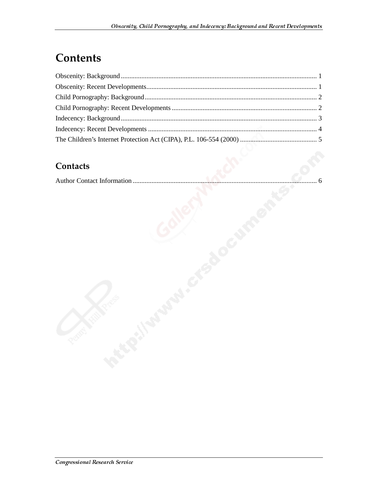# **Contents**

#### **Contacts**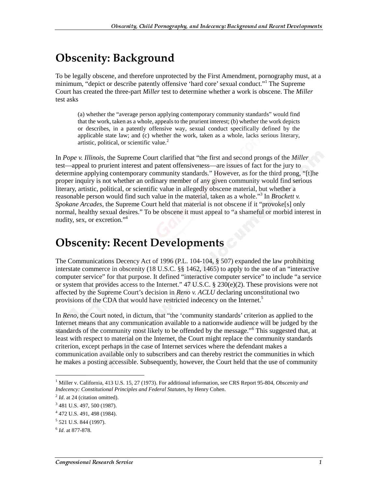# **Obscenity: Background**

To be legally obscene, and therefore unprotected by the First Amendment, pornography must, at a minimum, "depict or describe patently offensive 'hard core' sexual conduct."<sup>1</sup> The Supreme Court has created the three-part *Miller* test to determine whether a work is obscene. The *Miller* test asks

(a) whether the "average person applying contemporary community standards" would find that the work, taken as a whole, appeals to the prurient interest; (b) whether the work depicts or describes, in a patently offensive way, sexual conduct specifically defined by the applicable state law; and (c) whether the work, taken as a whole, lacks serious literary, artistic, political, or scientific value.<sup>2</sup>

In *Pope v. Illinois*, the Supreme Court clarified that "the first and second prongs of the *Miller* test—appeal to prurient interest and patent offensiveness—are issues of fact for the jury to determine applying contemporary community standards." However, as for the third prong, "[t]he proper inquiry is not whether an ordinary member of any given community would find serious literary, artistic, political, or scientific value in allegedly obscene material, but whether a reasonable person would find such value in the material, taken as a whole."<sup>3</sup> In *Brockett v*. *Spokane Arcades*, the Supreme Court held that material is not obscene if it "provoke[s] only normal, healthy sexual desires." To be obscene it must appeal to "a shameful or morbid interest in nudity, sex, or excretion."4

### **Obscenity: Recent Developments**

The Communications Decency Act of 1996 (P.L. 104-104, § 507) expanded the law prohibiting interstate commerce in obscenity (18 U.S.C. §§ 1462, 1465) to apply to the use of an "interactive computer service" for that purpose. It defined "interactive computer service" to include "a service or system that provides access to the Internet."  $47 \text{ U.S.C.}$  §  $230(e)(2)$ . These provisions were not affected by the Supreme Court's decision in *Reno v. ACLU* declaring unconstitutional two provisions of the CDA that would have restricted indecency on the Internet.<sup>5</sup>

In *Reno*, the Court noted, in dictum, that "the 'community standards' criterion as applied to the Internet means that any communication available to a nationwide audience will be judged by the standards of the community most likely to be offended by the message."<sup>6</sup> This suggested that, at least with respect to material on the Internet, the Court might replace the community standards criterion, except perhaps in the case of Internet services where the defendant makes a communication available only to subscribers and can thereby restrict the communities in which he makes a posting accessible. Subsequently, however, the Court held that the use of community

j

<sup>&</sup>lt;sup>1</sup> Miller v. California, 413 U.S. 15, 27 (1973). For additional information, see CRS Report 95-804, *Obscenity and Indecency: Constitutional Principles and Federal Statutes*, by Henry Cohen.

<sup>&</sup>lt;sup>2</sup> *Id.* at 24 (citation omitted).

<sup>&</sup>lt;sup>3</sup> 481 U.S. 497, 500 (1987).

<sup>4</sup> 472 U.S. 491, 498 (1984).

<sup>&</sup>lt;sup>5</sup> 521 U.S. 844 (1997).

<sup>6</sup> *Id*. at 877-878.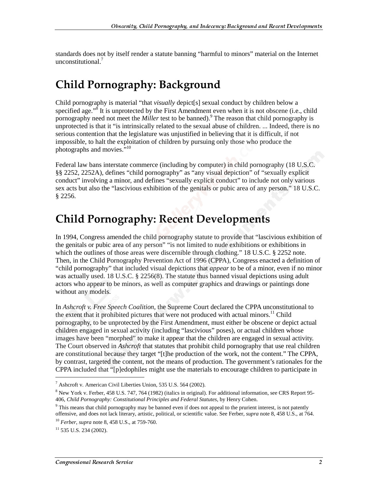standards does not by itself render a statute banning "harmful to minors" material on the Internet unconstitutional.<sup>7</sup>

### **Child Pornography: Background**

Child pornography is material "that *visually* depict[s] sexual conduct by children below a specified age."<sup>8</sup> It is unprotected by the First Amendment even when it is not obscene (i.e., child pornography need not meet the *Miller* test to be banned).<sup>9</sup> The reason that child pornography is unprotected is that it "is intrinsically related to the sexual abuse of children. ... Indeed, there is no serious contention that the legislature was unjustified in believing that it is difficult, if not impossible, to halt the exploitation of children by pursuing only those who produce the photographs and movies.<sup>510</sup>

Federal law bans interstate commerce (including by computer) in child pornography (18 U.S.C. §§ 2252, 2252A), defines "child pornography" as "any visual depiction" of "sexually explicit conduct" involving a minor, and defines "sexually explicit conduct" to include not only various sex acts but also the "lascivious exhibition of the genitals or pubic area of any person." 18 U.S.C. § 2256.

#### **Child Pornography: Recent Developments**

In 1994, Congress amended the child pornography statute to provide that "lascivious exhibition of the genitals or pubic area of any person" "is not limited to nude exhibitions or exhibitions in which the outlines of those areas were discernible through clothing." 18 U.S.C. § 2252 note. Then, in the Child Pornography Prevention Act of 1996 (CPPA), Congress enacted a definition of "child pornography" that included visual depictions that *appear* to be of a minor, even if no minor was actually used. 18 U.S.C. § 2256(8). The statute thus banned visual depictions using adult actors who appear to be minors, as well as computer graphics and drawings or paintings done without any models.

In *Ashcroft v. Free Speech Coalition*, the Supreme Court declared the CPPA unconstitutional to the extent that it prohibited pictures that were not produced with actual minors.<sup>11</sup> Child pornography, to be unprotected by the First Amendment, must either be obscene or depict actual children engaged in sexual activity (including "lascivious" poses), or actual children whose images have been "morphed" to make it appear that the children are engaged in sexual activity. The Court observed in *Ashcroft* that statutes that prohibit child pornography that use real children are constitutional because they target "[t]he production of the work, not the content." The CPPA, by contrast, targeted the content, not the means of production. The government's rationales for the CPPA included that "[p]edophiles might use the materials to encourage children to participate in

j

<sup>&</sup>lt;sup>7</sup> Ashcroft v. American Civil Liberties Union, 535 U.S. 564 (2002).

<sup>&</sup>lt;sup>8</sup> New York v. Ferber, 458 U.S. 747, 764 (1982) (italics in original). For additional information, see CRS Report 95-406, *Child Pornography: Constitutional Principles and Federal Statutes*, by Henry Cohen.

<sup>&</sup>lt;sup>9</sup> This means that child pornography may be banned even if does not appeal to the prurient interest, is not patently offensive, and does not lack literary, artistic, political, or scientific value. See Ferber, *supra* note 8, 458 U.S., at 764. <sup>10</sup> *Ferber*, *supra* note 8, 458 U.S., at 759-760.

 $11$  535 U.S. 234 (2002).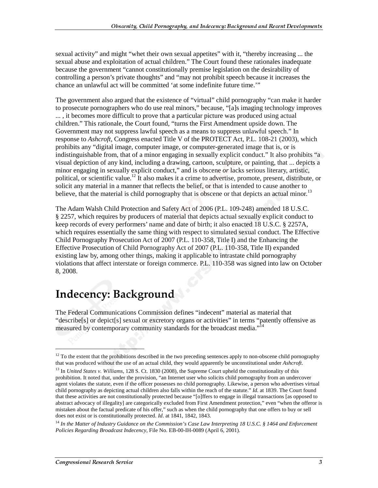sexual activity" and might "whet their own sexual appetites" with it, "thereby increasing ... the sexual abuse and exploitation of actual children." The Court found these rationales inadequate because the government "cannot constitutionally premise legislation on the desirability of controlling a person's private thoughts" and "may not prohibit speech because it increases the chance an unlawful act will be committed 'at some indefinite future time.'"

The government also argued that the existence of "virtual" child pornography "can make it harder to prosecute pornographers who do use real minors," because, "[a]s imaging technology improves ... , it becomes more difficult to prove that a particular picture was produced using actual children." This rationale, the Court found, "turns the First Amendment upside down. The Government may not suppress lawful speech as a means to suppress unlawful speech." In response to *Ashcroft*, Congress enacted Title V of the PROTECT Act, P.L. 108-21 (2003), which prohibits any "digital image, computer image, or computer-generated image that is, or is indistinguishable from, that of a minor engaging in sexually explicit conduct." It also prohibits "a visual depiction of any kind, including a drawing, cartoon, sculpture, or painting, that ... depicts a minor engaging in sexually explicit conduct," and is obscene *or* lacks serious literary, artistic, political, or scientific value.<sup>12</sup> It also makes it a crime to advertise, promote, present, distribute, or solicit any material in a manner that reflects the belief, or that is intended to cause another to believe, that the material is child pornography that is obscene or that depicts an actual minor.<sup>13</sup>

The Adam Walsh Child Protection and Safety Act of 2006 (P.L. 109-248) amended 18 U.S.C. § 2257, which requires by producers of material that depicts actual sexually explicit conduct to keep records of every performers' name and date of birth; it also enacted 18 U.S.C. § 2257A, which requires essentially the same thing with respect to simulated sexual conduct. The Effective Child Pornography Prosecution Act of 2007 (P.L. 110-358, Title I) and the Enhancing the Effective Prosecution of Child Pornography Act of 2007 (P.L. 110-358, Title II) expanded existing law by, among other things, making it applicable to intrastate child pornography violations that affect interstate or foreign commerce. P.L. 110-358 was signed into law on October 8, 2008.

# Indecency: Background

The Federal Communications Commission defines "indecent" material as material that "describe[s] or depict[s] sexual or excretory organs or activities" in terms "patently offensive as measured by contemporary community standards for the broadcast media."<sup>14</sup>

j

 $12$  To the extent that the prohibitions described in the two preceding sentences apply to non-obscene child pornography that was produced without the use of an actual child, they would apparently be unconstitutional under *Ashcroft*.

<sup>&</sup>lt;sup>13</sup> In *United States v. Williams*, 128 S. Ct. 1830 (2008), the Supreme Court upheld the constitutionality of this prohibition. It noted that, under the provision, "an Internet user who solicits child pornography from an undercover agent violates the statute, even if the officer possesses no child pornography. Likewise, a person who advertises virtual child pornography as depicting actual children also falls within the reach of the statute." *Id.* at 1839. The Court found that these activities are not constitutionally protected because "[o]ffers to engage in illegal transactions [as opposed to abstract advocacy of illegality] are categorically excluded from First Amendment protection," even "when the offeror is mistaken about the factual predicate of his offer," such as when the child pornography that one offers to buy or sell does not exist or is constitutionally protected. *Id*. at 1841, 1842, 1843.

<sup>14</sup> *In the Matter of Industry Guidance on the Commission's Case Law Interpreting 18 U.S.C. § 1464 and Enforcement Policies Regarding Broadcast Indecency*, File No. EB-00-IH-0089 (April 6, 2001).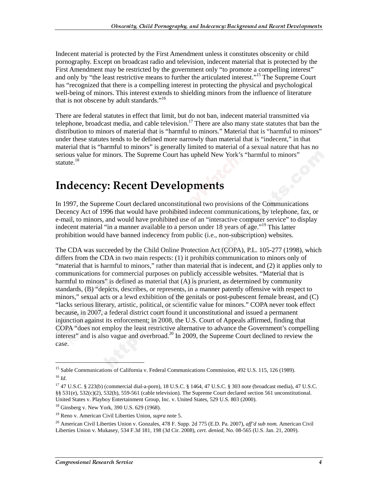Indecent material is protected by the First Amendment unless it constitutes obscenity or child pornography. Except on broadcast radio and television, indecent material that is protected by the First Amendment may be restricted by the government only "to promote a compelling interest" and only by "the least restrictive means to further the articulated interest."15 The Supreme Court has "recognized that there is a compelling interest in protecting the physical and psychological well-being of minors. This interest extends to shielding minors from the influence of literature that is not obscene by adult standards."<sup>16</sup>

There are federal statutes in effect that limit, but do not ban, indecent material transmitted via telephone, broadcast media, and cable television.<sup>17</sup> There are also many state statutes that ban the distribution to minors of material that is "harmful to minors." Material that is "harmful to minors" under these statutes tends to be defined more narrowly than material that is "indecent," in that material that is "harmful to minors" is generally limited to material of a sexual nature that has no serious value for minors. The Supreme Court has upheld New York's "harmful to minors" statute. $18$ 

# **Indecency: Recent Developments**

In 1997, the Supreme Court declared unconstitutional two provisions of the Communications Decency Act of 1996 that would have prohibited indecent communications, by telephone, fax, or e-mail, to minors, and would have prohibited use of an "interactive computer service" to display indecent material "in a manner available to a person under 18 years of age."<sup>19</sup> This latter prohibition would have banned indecency from public (i.e., non-subscription) websites.

The CDA was succeeded by the Child Online Protection Act (COPA), P.L. 105-277 (1998), which differs from the CDA in two main respects: (1) it prohibits communication to minors only of "material that is harmful to minors," rather than material that is indecent, and (2) it applies only to communications for commercial purposes on publicly accessible websites. "Material that is harmful to minors" is defined as material that  $(A)$  is prurient, as determined by community standards, (B) "depicts, describes, or represents, in a manner patently offensive with respect to minors," sexual acts or a lewd exhibition of the genitals or post-pubescent female breast, and (C) "lacks serious literary, artistic, political, or scientific value for minors." COPA never took effect because, in 2007, a federal district court found it unconstitutional and issued a permanent injunction against its enforcement; in 2008, the U.S. Court of Appeals affirmed, finding that COPA "does not employ the least restrictive alternative to advance the Government's compelling interest" and is also vague and overbroad.<sup>20</sup> In 2009, the Supreme Court declined to review the case.

 $\overline{a}$ 

<sup>&</sup>lt;sup>15</sup> Sable Communications of California v. Federal Communications Commission, 492 U.S. 115, 126 (1989).  $^{16}$  *Id.* 

<sup>17 47</sup> U.S.C. § 223(b) (commercial dial-a-porn), 18 U.S.C. § 1464, 47 U.S.C. § 303 note (broadcast media), 47 U.S.C. §§ 531(e), 532(c)(2), 532(h), 559-561 (cable television). The Supreme Court declared section 561 unconstitutional. United States v. Playboy Entertainment Group, Inc. v. United States, 529 U.S. 803 (2000).

<sup>18</sup> Ginsberg v. New York, 390 U.S. 629 (1968).

<sup>19</sup> Reno v. American Civil Liberties Union, *supra* note 5.

<sup>20</sup> American Civil Liberties Union v. Gonzales, 478 F. Supp. 2d 775 (E.D. Pa. 2007), *aff'd sub nom.* American Civil Liberties Union v. Mukasey, 534 F.3d 181, 198 (3d Cir. 2008), *cert. denied*, No. 08-565 (U.S. Jan. 21, 2009).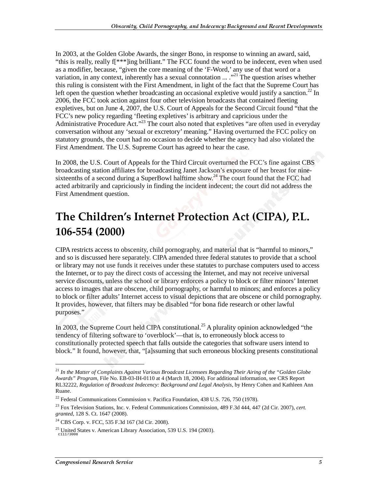In 2003, at the Golden Globe Awards, the singer Bono, in response to winning an award, said, "this is really, really f[\*\*\*]ing brilliant." The FCC found the word to be indecent, even when used as a modifier, because, "given the core meaning of the 'F-Word,' any use of that word or a variation, in any context, inherently has a sexual connotation  $\ldots$ .<sup>21</sup> The question arises whether this ruling is consistent with the First Amendment, in light of the fact that the Supreme Court has left open the question whether broadcasting an occasional expletive would justify a sanction.<sup>22</sup> In 2006, the FCC took action against four other television broadcasts that contained fleeting expletives, but on June 4, 2007, the U.S. Court of Appeals for the Second Circuit found "that the FCC's new policy regarding 'fleeting expletives' is arbitrary and capricious under the Administrative Procedure Act."<sup>23</sup> The court also noted that expletives "are often used in everyday conversation without any 'sexual or excretory' meaning." Having overturned the FCC policy on statutory grounds, the court had no occasion to decide whether the agency had also violated the First Amendment. The U.S. Supreme Court has agreed to hear the case.

In 2008, the U.S. Court of Appeals for the Third Circuit overturned the FCC's fine against CBS broadcasting station affiliates for broadcasting Janet Jackson's exposure of her breast for ninesixteenths of a second during a SuperBowl halftime show.<sup>24</sup> The court found that the FCC had acted arbitrarily and capriciously in finding the incident indecent; the court did not address the First Amendment question.

# The Children's Internet Protection Act (CIPA), P.L. 106-554 (2000)

CIPA restricts access to obscenity, child pornography, and material that is "harmful to minors," and so is discussed here separately. CIPA amended three federal statutes to provide that a school or library may not use funds it receives under these statutes to purchase computers used to access the Internet, or to pay the direct costs of accessing the Internet, and may not receive universal service discounts, unless the school or library enforces a policy to block or filter minors' Internet access to images that are obscene, child pornography, or harmful to minors; and enforces a policy to block or filter adults' Internet access to visual depictions that are obscene or child pornography. It provides, however, that filters may be disabled "for bona fide research or other lawful purposes."

In 2003, the Supreme Court held CIPA constitutional.<sup>25</sup> A plurality opinion acknowledged "the tendency of filtering software to 'overblock'—that is, to erroneously block access to constitutionally protected speech that falls outside the categories that software users intend to block." It found, however, that, "[a]ssuming that such erroneous blocking presents constitutional

 $\overline{a}$ 

<sup>21</sup> *In the Matter of Complaints Against Various Broadcast Licensees Regarding Their Airing of the "Golden Globe Awards" Program*, File No. EB-03-IH-0110 at 4 (March 18, 2004). For additional information, see CRS Report RL32222, *Regulation of Broadcast Indecency: Background and Legal Analysis*, by Henry Cohen and Kathleen Ann Ruane.

<sup>&</sup>lt;sup>22</sup> Federal Communications Commission v. Pacifica Foundation, 438 U.S. 726, 750 (1978).

<sup>23</sup> Fox Television Stations, Inc. v. Federal Communications Commission, 489 F.3d 444, 447 (2d Cir. 2007), *cert. granted*, 128 S. Ct. 1647 (2008).

 $24$  CBS Corp. v. FCC, 535 F.3d 167 (3d Cir. 2008).

 $^{25}$  United States v. American Library Association, 539 U.S. 194 (2003). c11173008